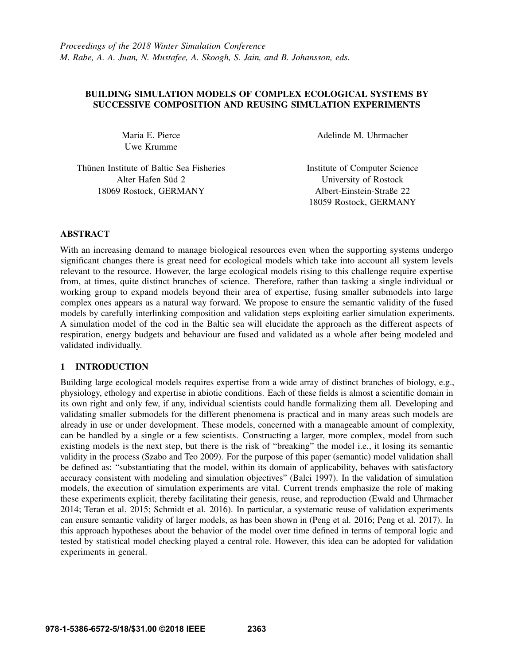## BUILDING SIMULATION MODELS OF COMPLEX ECOLOGICAL SYSTEMS BY SUCCESSIVE COMPOSITION AND REUSING SIMULATION EXPERIMENTS

Maria E. Pierce Uwe Krumme

Thünen Institute of Baltic Sea Fisheries Alter Hafen Süd 2

18069 Rostock, GERMANY

Adelinde M. Uhrmacher

Institute of Computer Science University of Rostock Albert-Einstein-Straße 22 18059 Rostock, GERMANY

# ABSTRACT

With an increasing demand to manage biological resources even when the supporting systems undergo significant changes there is great need for ecological models which take into account all system levels relevant to the resource. However, the large ecological models rising to this challenge require expertise from, at times, quite distinct branches of science. Therefore, rather than tasking a single individual or working group to expand models beyond their area of expertise, fusing smaller submodels into large complex ones appears as a natural way forward. We propose to ensure the semantic validity of the fused models by carefully interlinking composition and validation steps exploiting earlier simulation experiments. A simulation model of the cod in the Baltic sea will elucidate the approach as the different aspects of respiration, energy budgets and behaviour are fused and validated as a whole after being modeled and validated individually.

# 1 INTRODUCTION

Building large ecological models requires expertise from a wide array of distinct branches of biology, e.g., physiology, ethology and expertise in abiotic conditions. Each of these fields is almost a scientific domain in its own right and only few, if any, individual scientists could handle formalizing them all. Developing and validating smaller submodels for the different phenomena is practical and in many areas such models are already in use or under development. These models, concerned with a manageable amount of complexity, can be handled by a single or a few scientists. Constructing a larger, more complex, model from such existing models is the next step, but there is the risk of "breaking" the model i.e., it losing its semantic validity in the process (Szabo and Teo 2009). For the purpose of this paper (semantic) model validation shall be defined as: "substantiating that the model, within its domain of applicability, behaves with satisfactory accuracy consistent with modeling and simulation objectives" (Balci 1997). In the validation of simulation models, the execution of simulation experiments are vital. Current trends emphasize the role of making these experiments explicit, thereby facilitating their genesis, reuse, and reproduction (Ewald and Uhrmacher 2014; Teran et al. 2015; Schmidt et al. 2016). In particular, a systematic reuse of validation experiments can ensure semantic validity of larger models, as has been shown in (Peng et al. 2016; Peng et al. 2017). In this approach hypotheses about the behavior of the model over time defined in terms of temporal logic and tested by statistical model checking played a central role. However, this idea can be adopted for validation experiments in general.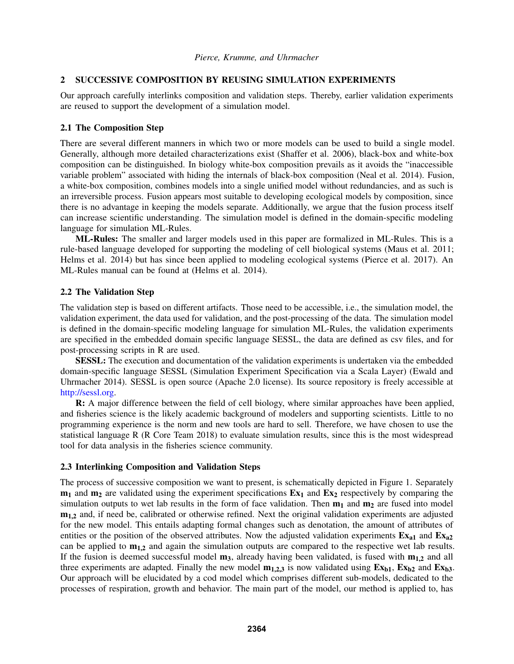## 2 SUCCESSIVE COMPOSITION BY REUSING SIMULATION EXPERIMENTS

Our approach carefully interlinks composition and validation steps. Thereby, earlier validation experiments are reused to support the development of a simulation model.

## 2.1 The Composition Step

There are several different manners in which two or more models can be used to build a single model. Generally, although more detailed characterizations exist (Shaffer et al. 2006), black-box and white-box composition can be distinguished. In biology white-box composition prevails as it avoids the "inaccessible variable problem" associated with hiding the internals of black-box composition (Neal et al. 2014). Fusion, a white-box composition, combines models into a single unified model without redundancies, and as such is an irreversible process. Fusion appears most suitable to developing ecological models by composition, since there is no advantage in keeping the models separate. Additionally, we argue that the fusion process itself can increase scientific understanding. The simulation model is defined in the domain-specific modeling language for simulation ML-Rules.

ML-Rules: The smaller and larger models used in this paper are formalized in ML-Rules. This is a rule-based language developed for supporting the modeling of cell biological systems (Maus et al. 2011; Helms et al. 2014) but has since been applied to modeling ecological systems (Pierce et al. 2017). An ML-Rules manual can be found at (Helms et al. 2014).

## 2.2 The Validation Step

The validation step is based on different artifacts. Those need to be accessible, i.e., the simulation model, the validation experiment, the data used for validation, and the post-processing of the data. The simulation model is defined in the domain-specific modeling language for simulation ML-Rules, the validation experiments are specified in the embedded domain specific language SESSL, the data are defined as csv files, and for post-processing scripts in R are used.

SESSL: The execution and documentation of the validation experiments is undertaken via the embedded domain-specific language SESSL (Simulation Experiment Specification via a Scala Layer) (Ewald and Uhrmacher 2014). SESSL is open source (Apache 2.0 license). Its source repository is freely accessible at http://sessl.org.

R: A major difference between the field of cell biology, where similar approaches have been applied, and fisheries science is the likely academic background of modelers and supporting scientists. Little to no programming experience is the norm and new tools are hard to sell. Therefore, we have chosen to use the statistical language R (R Core Team 2018) to evaluate simulation results, since this is the most widespread tool for data analysis in the fisheries science community.

### 2.3 Interlinking Composition and Validation Steps

The process of successive composition we want to present, is schematically depicted in Figure 1. Separately  $m_1$  and  $m_2$  are validated using the experiment specifications  $Ex_1$  and  $Ex_2$  respectively by comparing the simulation outputs to wet lab results in the form of face validation. Then  $m_1$  and  $m_2$  are fused into model  $m_{1,2}$  and, if need be, calibrated or otherwise refined. Next the original validation experiments are adjusted for the new model. This entails adapting formal changes such as denotation, the amount of attributes of entities or the position of the observed attributes. Now the adjusted validation experiments  $Ex_{a1}$  and  $Ex_{a2}$ can be applied to  $m_{1,2}$  and again the simulation outputs are compared to the respective wet lab results. If the fusion is deemed successful model  $m_3$ , already having been validated, is fused with  $m_{1,2}$  and all three experiments are adapted. Finally the new model  $m_{1,2,3}$  is now validated using  $Ex_{b1}$ ,  $Ex_{b2}$  and  $Ex_{b3}$ . Our approach will be elucidated by a cod model which comprises different sub-models, dedicated to the processes of respiration, growth and behavior. The main part of the model, our method is applied to, has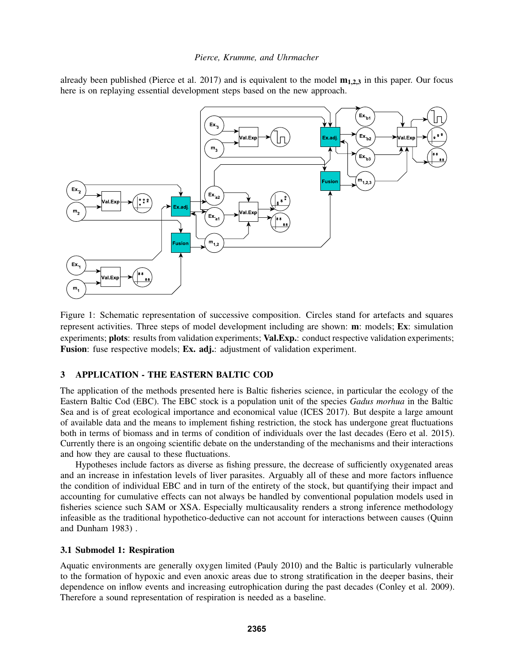already been published (Pierce et al. 2017) and is equivalent to the model  $m_{1,2,3}$  in this paper. Our focus here is on replaying essential development steps based on the new approach.



Figure 1: Schematic representation of successive composition. Circles stand for artefacts and squares represent activities. Three steps of model development including are shown: m: models; Ex: simulation experiments; plots: results from validation experiments; Val.Exp.: conduct respective validation experiments; Fusion: fuse respective models; Ex. adj.: adjustment of validation experiment.

# 3 APPLICATION - THE EASTERN BALTIC COD

The application of the methods presented here is Baltic fisheries science, in particular the ecology of the Eastern Baltic Cod (EBC). The EBC stock is a population unit of the species *Gadus morhua* in the Baltic Sea and is of great ecological importance and economical value (ICES 2017). But despite a large amount of available data and the means to implement fishing restriction, the stock has undergone great fluctuations both in terms of biomass and in terms of condition of individuals over the last decades (Eero et al. 2015). Currently there is an ongoing scientific debate on the understanding of the mechanisms and their interactions and how they are causal to these fluctuations.

Hypotheses include factors as diverse as fishing pressure, the decrease of sufficiently oxygenated areas and an increase in infestation levels of liver parasites. Arguably all of these and more factors influence the condition of individual EBC and in turn of the entirety of the stock, but quantifying their impact and accounting for cumulative effects can not always be handled by conventional population models used in fisheries science such SAM or XSA. Especially multicausality renders a strong inference methodology infeasible as the traditional hypothetico-deductive can not account for interactions between causes (Quinn and Dunham 1983) .

## 3.1 Submodel 1: Respiration

Aquatic environments are generally oxygen limited (Pauly 2010) and the Baltic is particularly vulnerable to the formation of hypoxic and even anoxic areas due to strong stratification in the deeper basins, their dependence on inflow events and increasing eutrophication during the past decades (Conley et al. 2009). Therefore a sound representation of respiration is needed as a baseline.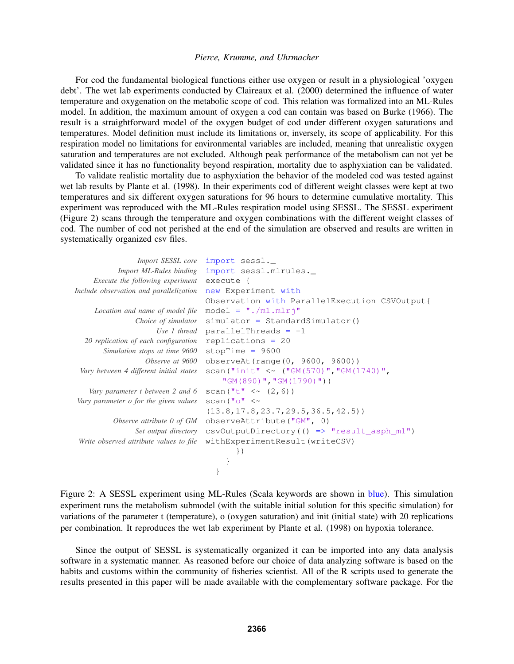For cod the fundamental biological functions either use oxygen or result in a physiological 'oxygen debt'. The wet lab experiments conducted by Claireaux et al. (2000) determined the influence of water temperature and oxygenation on the metabolic scope of cod. This relation was formalized into an ML-Rules model. In addition, the maximum amount of oxygen a cod can contain was based on Burke (1966). The result is a straightforward model of the oxygen budget of cod under different oxygen saturations and temperatures. Model definition must include its limitations or, inversely, its scope of applicability. For this respiration model no limitations for environmental variables are included, meaning that unrealistic oxygen saturation and temperatures are not excluded. Although peak performance of the metabolism can not yet be validated since it has no functionality beyond respiration, mortality due to asphyxiation can be validated.

To validate realistic mortality due to asphyxiation the behavior of the modeled cod was tested against wet lab results by Plante et al. (1998). In their experiments cod of different weight classes were kept at two temperatures and six different oxygen saturations for 96 hours to determine cumulative mortality. This experiment was reproduced with the ML-Rules respiration model using SESSL. The SESSL experiment (Figure 2) scans through the temperature and oxygen combinations with the different weight classes of cod. The number of cod not perished at the end of the simulation are observed and results are written in systematically organized csv files.

| <i>Import SESSL core</i>                | import sessl.                                           |
|-----------------------------------------|---------------------------------------------------------|
| <i>Import ML-Rules binding</i>          | import sessl.mlrules.                                   |
| Execute the following experiment        | execute {                                               |
| Include observation and parallelization | new Experiment with                                     |
|                                         | Observation with ParallelExecution CSVOutput{           |
| Location and name of model file         | $model = "./m1.m1r1"$                                   |
| Choice of simulator                     | $simulator = StandardSimulator()$                       |
| Use 1 thread                            | $parallelThreads = -1$                                  |
| 20 replication of each configuration    | replications = $20$                                     |
| Simulation stops at time 9600           | $stopTime = 9600$                                       |
| Observe at 9600                         | observeAt (range (0, 9600, 9600))                       |
| Vary between 4 different initial states | scan ("init" < $\sim$ ("GM(570)", "GM(1740)",           |
|                                         | $"GM(890)"$ , $"GM(1790)"$                              |
| Vary parameter t between 2 and 6        | scan("t" < $(2, 6)$ )                                   |
| Vary parameter o for the given values   | scan (" $\circ$ " <~                                    |
|                                         | (13.8, 17.8, 23.7, 29.5, 36.5, 42.5)                    |
| Observe attribute 0 of GM               | observedAttribute("GM", 0)                              |
| Set output directory                    | $csvOutputDirectory (() \Rightarrow "result\_asph_m1")$ |
| Write observed attribute values to file | withExperimentResult (writeCSV)                         |
|                                         | )                                                       |
|                                         |                                                         |
|                                         |                                                         |
|                                         |                                                         |

Figure 2: A SESSL experiment using ML-Rules (Scala keywords are shown in blue). This simulation experiment runs the metabolism submodel (with the suitable initial solution for this specific simulation) for variations of the parameter t (temperature), o (oxygen saturation) and init (initial state) with 20 replications per combination. It reproduces the wet lab experiment by Plante et al. (1998) on hypoxia tolerance.

Since the output of SESSL is systematically organized it can be imported into any data analysis software in a systematic manner. As reasoned before our choice of data analyzing software is based on the habits and customs within the community of fisheries scientist. All of the R scripts used to generate the results presented in this paper will be made available with the complementary software package. For the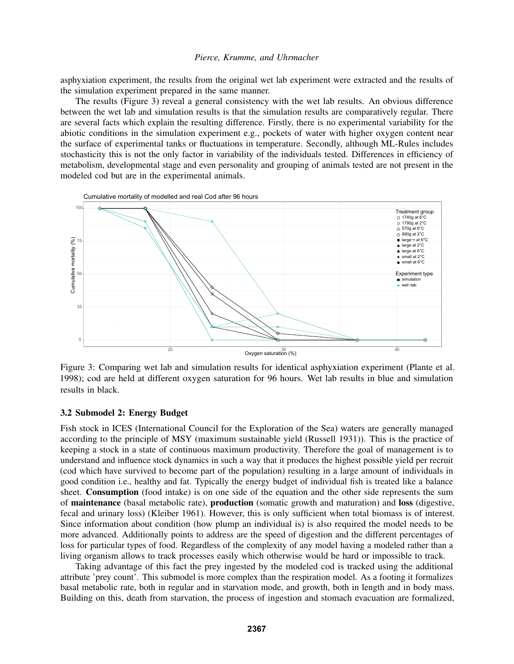asphyxiation experiment, the results from the original wet lab experiment were extracted and the results of the simulation experiment prepared in the same manner.

The results (Figure 3) reveal a general consistency with the wet lab results. An obvious difference between the wet lab and simulation results is that the simulation results are comparatively regular. There are several facts which explain the resulting difference. Firstly, there is no experimental variability for the abiotic conditions in the simulation experiment e.g., pockets of water with higher oxygen content near the surface of experimental tanks or fluctuations in temperature. Secondly, although ML-Rules includes stochasticity this is not the only factor in variability of the individuals tested. Differences in efficiency of metabolism, developmental stage and even personality and grouping of animals tested are not present in the modeled cod but are in the experimental animals.



Figure 3: Comparing wet lab and simulation results for identical asphyxiation experiment (Plante et al. 1998); cod are held at different oxygen saturation for 96 hours. Wet lab results in blue and simulation results in black.

## 3.2 Submodel 2: Energy Budget

Fish stock in ICES (International Council for the Exploration of the Sea) waters are generally managed according to the principle of MSY (maximum sustainable yield (Russell 1931)). This is the practice of keeping a stock in a state of continuous maximum productivity. Therefore the goal of management is to understand and influence stock dynamics in such a way that it produces the highest possible yield per recruit (cod which have survived to become part of the population) resulting in a large amount of individuals in good condition i.e., healthy and fat. Typically the energy budget of individual fish is treated like a balance sheet. Consumption (food intake) is on one side of the equation and the other side represents the sum of maintenance (basal metabolic rate), production (somatic growth and maturation) and loss (digestive, fecal and urinary loss) (Kleiber 1961). However, this is only sufficient when total biomass is of interest. Since information about condition (how plump an individual is) is also required the model needs to be more advanced. Additionally points to address are the speed of digestion and the different percentages of loss for particular types of food. Regardless of the complexity of any model having a modeled rather than a living organism allows to track processes easily which otherwise would be hard or impossible to track.

Taking advantage of this fact the prey ingested by the modeled cod is tracked using the additional attribute 'prey count'. This submodel is more complex than the respiration model. As a footing it formalizes basal metabolic rate, both in regular and in starvation mode, and growth, both in length and in body mass. Building on this, death from starvation, the process of ingestion and stomach evacuation are formalized,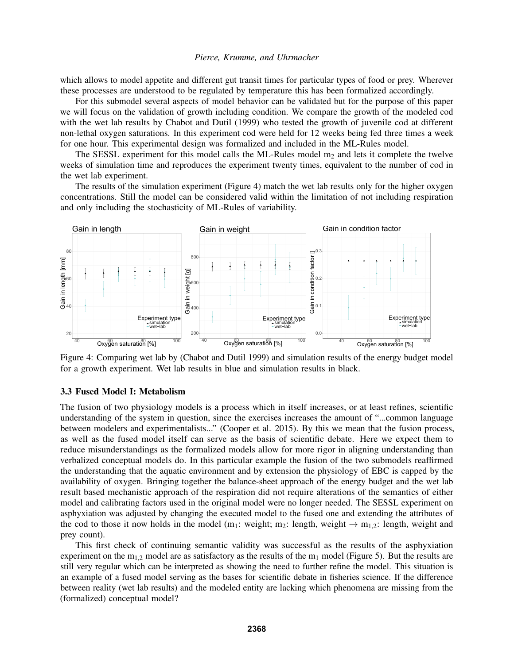which allows to model appetite and different gut transit times for particular types of food or prey. Wherever these processes are understood to be regulated by temperature this has been formalized accordingly.

For this submodel several aspects of model behavior can be validated but for the purpose of this paper we will focus on the validation of growth including condition. We compare the growth of the modeled cod with the wet lab results by Chabot and Dutil (1999) who tested the growth of juvenile cod at different non-lethal oxygen saturations. In this experiment cod were held for 12 weeks being fed three times a week for one hour. This experimental design was formalized and included in the ML-Rules model.

The SESSL experiment for this model calls the ML-Rules model  $m<sub>2</sub>$  and lets it complete the twelve weeks of simulation time and reproduces the experiment twenty times, equivalent to the number of cod in the wet lab experiment.

The results of the simulation experiment (Figure 4) match the wet lab results only for the higher oxygen concentrations. Still the model can be considered valid within the limitation of not including respiration and only including the stochasticity of ML-Rules of variability.



Figure 4: Comparing wet lab by (Chabot and Dutil 1999) and simulation results of the energy budget model for a growth experiment. Wet lab results in blue and simulation results in black.

## 3.3 Fused Model I: Metabolism

The fusion of two physiology models is a process which in itself increases, or at least refines, scientific understanding of the system in question, since the exercises increases the amount of "...common language between modelers and experimentalists..." (Cooper et al. 2015). By this we mean that the fusion process, as well as the fused model itself can serve as the basis of scientific debate. Here we expect them to reduce misunderstandings as the formalized models allow for more rigor in aligning understanding than verbalized conceptual models do. In this particular example the fusion of the two submodels reaffirmed the understanding that the aquatic environment and by extension the physiology of EBC is capped by the availability of oxygen. Bringing together the balance-sheet approach of the energy budget and the wet lab result based mechanistic approach of the respiration did not require alterations of the semantics of either model and calibrating factors used in the original model were no longer needed. The SESSL experiment on asphyxiation was adjusted by changing the executed model to the fused one and extending the attributes of the cod to those it now holds in the model (m<sub>1</sub>: weight; m<sub>2</sub>: length, weight  $\rightarrow$  m<sub>1,2</sub>: length, weight and prey count).

This first check of continuing semantic validity was successful as the results of the asphyxiation experiment on the  $m_{1,2}$  model are as satisfactory as the results of the  $m_1$  model (Figure 5). But the results are still very regular which can be interpreted as showing the need to further refine the model. This situation is an example of a fused model serving as the bases for scientific debate in fisheries science. If the difference between reality (wet lab results) and the modeled entity are lacking which phenomena are missing from the (formalized) conceptual model?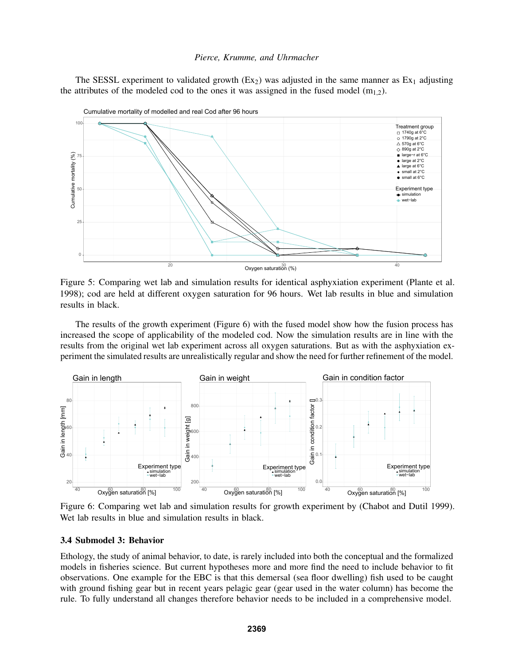The SESSL experiment to validated growth  $(Ex<sub>2</sub>)$  was adjusted in the same manner as  $Ex<sub>1</sub>$  adjusting the attributes of the modeled cod to the ones it was assigned in the fused model  $(m_{1,2})$ .



Figure 5: Comparing wet lab and simulation results for identical asphyxiation experiment (Plante et al. 1998); cod are held at different oxygen saturation for 96 hours. Wet lab results in blue and simulation results in black.

The results of the growth experiment (Figure 6) with the fused model show how the fusion process has increased the scope of applicability of the modeled cod. Now the simulation results are in line with the results from the original wet lab experiment across all oxygen saturations. But as with the asphyxiation experiment the simulated results are unrealistically regular and show the need for further refinement of the model.



Figure 6: Comparing wet lab and simulation results for growth experiment by (Chabot and Dutil 1999). Wet lab results in blue and simulation results in black.

## 3.4 Submodel 3: Behavior

Ethology, the study of animal behavior, to date, is rarely included into both the conceptual and the formalized models in fisheries science. But current hypotheses more and more find the need to include behavior to fit observations. One example for the EBC is that this demersal (sea floor dwelling) fish used to be caught with ground fishing gear but in recent years pelagic gear (gear used in the water column) has become the rule. To fully understand all changes therefore behavior needs to be included in a comprehensive model.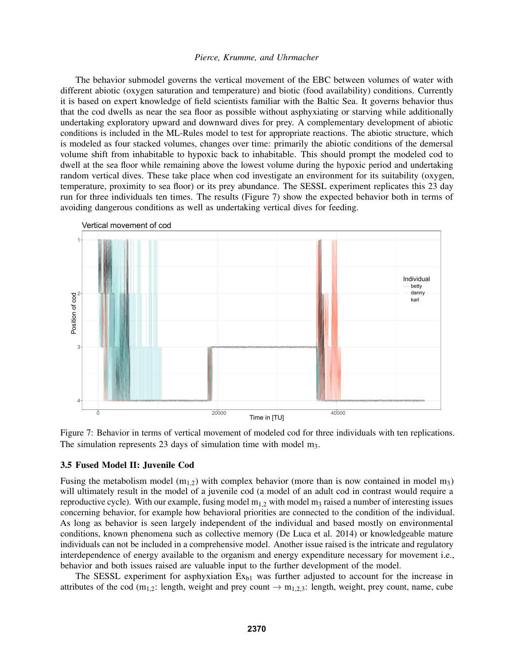The behavior submodel governs the vertical movement of the EBC between volumes of water with different abiotic (oxygen saturation and temperature) and biotic (food availability) conditions. Currently it is based on expert knowledge of field scientists familiar with the Baltic Sea. It governs behavior thus that the cod dwells as near the sea floor as possible without asphyxiating or starving while additionally undertaking exploratory upward and downward dives for prey. A complementary development of abiotic conditions is included in the ML-Rules model to test for appropriate reactions. The abiotic structure, which is modeled as four stacked volumes, changes over time: primarily the abiotic conditions of the demersal volume shift from inhabitable to hypoxic back to inhabitable. This should prompt the modeled cod to dwell at the sea floor while remaining above the lowest volume during the hypoxic period and undertaking random vertical dives. These take place when cod investigate an environment for its suitability (oxygen, temperature, proximity to sea floor) or its prey abundance. The SESSL experiment replicates this 23 day run for three individuals ten times. The results (Figure 7) show the expected behavior both in terms of avoiding dangerous conditions as well as undertaking vertical dives for feeding.



Figure 7: Behavior in terms of vertical movement of modeled cod for three individuals with ten replications. The simulation represents 23 days of simulation time with model m<sub>3</sub>.

## 3.5 Fused Model II: Juvenile Cod

Fusing the metabolism model  $(m_{1,2})$  with complex behavior (more than is now contained in model m<sub>3</sub>) will ultimately result in the model of a juvenile cod (a model of an adult cod in contrast would require a reproductive cycle). With our example, fusing model  $m_{1,2}$  with model  $m_3$  raised a number of interesting issues concerning behavior, for example how behavioral priorities are connected to the condition of the individual. As long as behavior is seen largely independent of the individual and based mostly on environmental conditions, known phenomena such as collective memory (De Luca et al. 2014) or knowledgeable mature individuals can not be included in a comprehensive model. Another issue raised is the intricate and regulatory interdependence of energy available to the organism and energy expenditure necessary for movement i.e., behavior and both issues raised are valuable input to the further development of the model.

The SESSL experiment for asphyxiation  $Ex_{b1}$  was further adjusted to account for the increase in attributes of the cod (m<sub>1,2</sub>: length, weight and prey count  $\rightarrow$  m<sub>1,2,3</sub>: length, weight, prey count, name, cube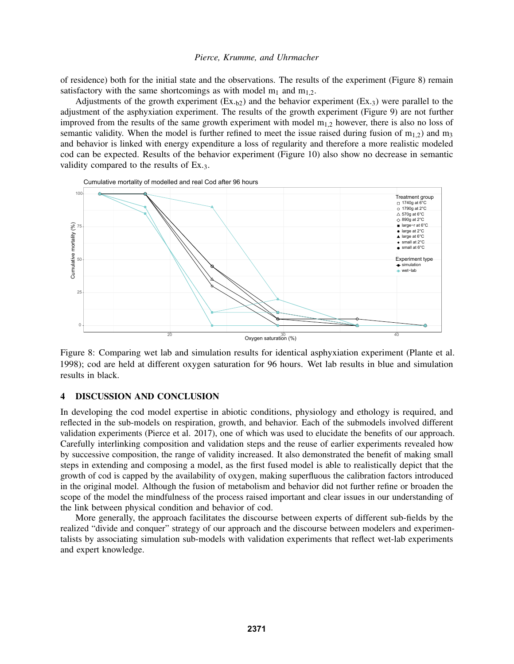of residence) both for the initial state and the observations. The results of the experiment (Figure 8) remain satisfactory with the same shortcomings as with model  $m_1$  and  $m_1$ .

Adjustments of the growth experiment  $(Ex_{b2})$  and the behavior experiment  $(Ex_{a3})$  were parallel to the adjustment of the asphyxiation experiment. The results of the growth experiment (Figure 9) are not further improved from the results of the same growth experiment with model  $m<sub>1,2</sub>$  however, there is also no loss of semantic validity. When the model is further refined to meet the issue raised during fusion of  $m<sub>1,2</sub>$ ) and  $m<sub>3</sub>$ and behavior is linked with energy expenditure a loss of regularity and therefore a more realistic modeled cod can be expected. Results of the behavior experiment (Figure 10) also show no decrease in semantic validity compared to the results of Ex.3.



Figure 8: Comparing wet lab and simulation results for identical asphyxiation experiment (Plante et al. 1998); cod are held at different oxygen saturation for 96 hours. Wet lab results in blue and simulation results in black.

# 4 DISCUSSION AND CONCLUSION

In developing the cod model expertise in abiotic conditions, physiology and ethology is required, and reflected in the sub-models on respiration, growth, and behavior. Each of the submodels involved different validation experiments (Pierce et al. 2017), one of which was used to elucidate the benefits of our approach. Carefully interlinking composition and validation steps and the reuse of earlier experiments revealed how by successive composition, the range of validity increased. It also demonstrated the benefit of making small steps in extending and composing a model, as the first fused model is able to realistically depict that the growth of cod is capped by the availability of oxygen, making superfluous the calibration factors introduced in the original model. Although the fusion of metabolism and behavior did not further refine or broaden the scope of the model the mindfulness of the process raised important and clear issues in our understanding of the link between physical condition and behavior of cod.

More generally, the approach facilitates the discourse between experts of different sub-fields by the realized "divide and conquer" strategy of our approach and the discourse between modelers and experimentalists by associating simulation sub-models with validation experiments that reflect wet-lab experiments and expert knowledge.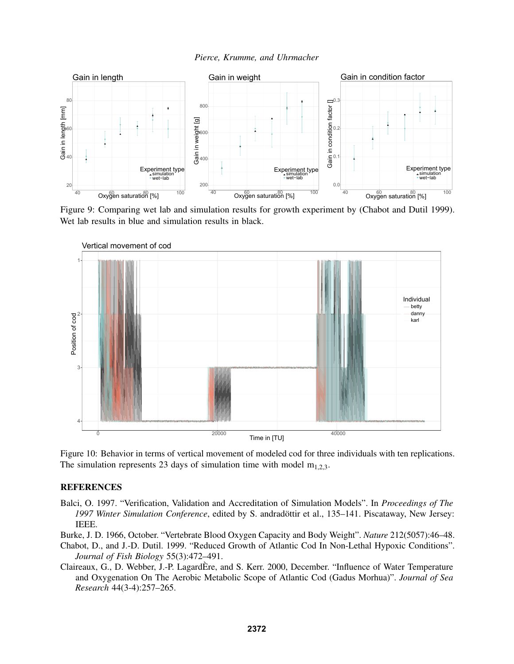



Figure 9: Comparing wet lab and simulation results for growth experiment by (Chabot and Dutil 1999). Wet lab results in blue and simulation results in black.



Figure 10: Behavior in terms of vertical movement of modeled cod for three individuals with ten replications. The simulation represents 23 days of simulation time with model  $m_{1,2,3}$ .

## **REFERENCES**

Balci, O. 1997. "Verification, Validation and Accreditation of Simulation Models". In *Proceedings of The 1997 Winter Simulation Conference*, edited by S. andradöttir et al., 135–141. Piscataway, New Jersey: IEEE.

Burke, J. D. 1966, October. "Vertebrate Blood Oxygen Capacity and Body Weight". *Nature* 212(5057):46–48.

- Chabot, D., and J.-D. Dutil. 1999. "Reduced Growth of Atlantic Cod In Non-Lethal Hypoxic Conditions". *Journal of Fish Biology* 55(3):472–491.
- Claireaux, G., D. Webber, J.-P. LagardÈre, and S. Kerr. 2000, December. "Influence of Water Temperature and Oxygenation On The Aerobic Metabolic Scope of Atlantic Cod (Gadus Morhua)". *Journal of Sea Research* 44(3-4):257–265.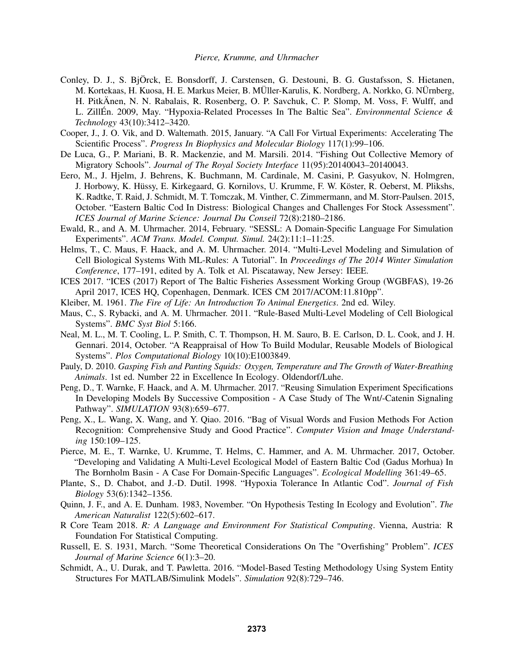- Conley, D. J., S. BjÖrck, E. Bonsdorff, J. Carstensen, G. Destouni, B. G. Gustafsson, S. Hietanen, M. Kortekaas, H. Kuosa, H. E. Markus Meier, B. MÜller-Karulis, K. Nordberg, A. Norkko, G. NÜrnberg, H. PitkÄnen, N. N. Rabalais, R. Rosenberg, O. P. Savchuk, C. P. Slomp, M. Voss, F. Wulff, and L. ZillÉn. 2009, May. "Hypoxia-Related Processes In The Baltic Sea". *Environmental Science & Technology* 43(10):3412–3420.
- Cooper, J., J. O. Vik, and D. Waltemath. 2015, January. "A Call For Virtual Experiments: Accelerating The Scientific Process". *Progress In Biophysics and Molecular Biology* 117(1):99–106.
- De Luca, G., P. Mariani, B. R. Mackenzie, and M. Marsili. 2014. "Fishing Out Collective Memory of Migratory Schools". *Journal of The Royal Society Interface* 11(95):20140043–20140043.
- Eero, M., J. Hjelm, J. Behrens, K. Buchmann, M. Cardinale, M. Casini, P. Gasyukov, N. Holmgren, J. Horbowy, K. Hüssy, E. Kirkegaard, G. Kornilovs, U. Krumme, F. W. Köster, R. Oeberst, M. Plikshs, K. Radtke, T. Raid, J. Schmidt, M. T. Tomczak, M. Vinther, C. Zimmermann, and M. Storr-Paulsen. 2015, October. "Eastern Baltic Cod In Distress: Biological Changes and Challenges For Stock Assessment". *ICES Journal of Marine Science: Journal Du Conseil* 72(8):2180–2186.
- Ewald, R., and A. M. Uhrmacher. 2014, February. "SESSL: A Domain-Specific Language For Simulation Experiments". *ACM Trans. Model. Comput. Simul.* 24(2):11:1–11:25.
- Helms, T., C. Maus, F. Haack, and A. M. Uhrmacher. 2014. "Multi-Level Modeling and Simulation of Cell Biological Systems With ML-Rules: A Tutorial". In *Proceedings of The 2014 Winter Simulation Conference*, 177–191, edited by A. Tolk et Al. Piscataway, New Jersey: IEEE.
- ICES 2017. "ICES (2017) Report of The Baltic Fisheries Assessment Working Group (WGBFAS), 19-26 April 2017, ICES HQ, Copenhagen, Denmark. ICES CM 2017/ACOM:11.810pp".
- Kleiber, M. 1961. *The Fire of Life: An Introduction To Animal Energetics*. 2nd ed. Wiley.
- Maus, C., S. Rybacki, and A. M. Uhrmacher. 2011. "Rule-Based Multi-Level Modeling of Cell Biological Systems". *BMC Syst Biol* 5:166.
- Neal, M. L., M. T. Cooling, L. P. Smith, C. T. Thompson, H. M. Sauro, B. E. Carlson, D. L. Cook, and J. H. Gennari. 2014, October. "A Reappraisal of How To Build Modular, Reusable Models of Biological Systems". *Plos Computational Biology* 10(10):E1003849.
- Pauly, D. 2010. *Gasping Fish and Panting Squids: Oxygen, Temperature and The Growth of Water-Breathing Animals*. 1st ed. Number 22 in Excellence In Ecology. Oldendorf/Luhe.
- Peng, D., T. Warnke, F. Haack, and A. M. Uhrmacher. 2017. "Reusing Simulation Experiment Specifications In Developing Models By Successive Composition - A Case Study of The Wnt/-Catenin Signaling Pathway". *SIMULATION* 93(8):659–677.
- Peng, X., L. Wang, X. Wang, and Y. Qiao. 2016. "Bag of Visual Words and Fusion Methods For Action Recognition: Comprehensive Study and Good Practice". *Computer Vision and Image Understanding* 150:109–125.
- Pierce, M. E., T. Warnke, U. Krumme, T. Helms, C. Hammer, and A. M. Uhrmacher. 2017, October. "Developing and Validating A Multi-Level Ecological Model of Eastern Baltic Cod (Gadus Morhua) In The Bornholm Basin - A Case For Domain-Specific Languages". *Ecological Modelling* 361:49–65.
- Plante, S., D. Chabot, and J.-D. Dutil. 1998. "Hypoxia Tolerance In Atlantic Cod". *Journal of Fish Biology* 53(6):1342–1356.
- Quinn, J. F., and A. E. Dunham. 1983, November. "On Hypothesis Testing In Ecology and Evolution". *The American Naturalist* 122(5):602–617.
- R Core Team 2018. *R: A Language and Environment For Statistical Computing*. Vienna, Austria: R Foundation For Statistical Computing.
- Russell, E. S. 1931, March. "Some Theoretical Considerations On The "Overfishing" Problem". *ICES Journal of Marine Science* 6(1):3–20.
- Schmidt, A., U. Durak, and T. Pawletta. 2016. "Model-Based Testing Methodology Using System Entity Structures For MATLAB/Simulink Models". *Simulation* 92(8):729–746.